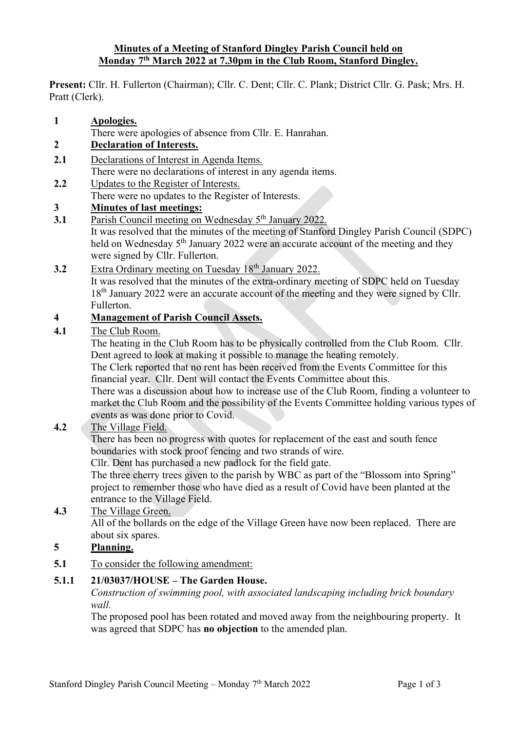#### **Minutes of a Meeting of Stanford Dingley Parish Council held on Monday 7th March 2022 at 7.30pm in the Club Room, Stanford Dingley.**

**Present:** Cllr. H. Fullerton (Chairman); Cllr. C. Dent; Cllr. C. Plank; District Cllr. G. Pask; Mrs. H. Pratt (Clerk).

- **1 Apologies.**
- There were apologies of absence from Cllr. E. Hanrahan.
- **2 Declaration of Interests.**
- **2.1** Declarations of Interest in Agenda Items. There were no declarations of interest in any agenda items.
- **2.2** Updates to the Register of Interests.
- There were no updates to the Register of Interests.

## **3 Minutes of last meetings:**

- **3.1** Parish Council meeting on Wednesday 5<sup>th</sup> January 2022. It was resolved that the minutes of the meeting of Stanford Dingley Parish Council (SDPC) held on Wednesday 5<sup>th</sup> January 2022 were an accurate account of the meeting and they were signed by Cllr. Fullerton.
- **3.2** Extra Ordinary meeting on Tuesday 18<sup>th</sup> January 2022. It was resolved that the minutes of the extra-ordinary meeting of SDPC held on Tuesday

18<sup>th</sup> January 2022 were an accurate account of the meeting and they were signed by Cllr. Fullerton.

## **4 Management of Parish Council Assets.**

**4.1** The Club Room.

The heating in the Club Room has to be physically controlled from the Club Room. Cllr. Dent agreed to look at making it possible to manage the heating remotely.

The Clerk reported that no rent has been received from the Events Committee for this financial year. Cllr. Dent will contact the Events Committee about this.

There was a discussion about how to increase use of the Club Room, finding a volunteer to market the Club Room and the possibility of the Events Committee holding various types of events as was done prior to Covid.

## **4.2** The Village Field.

There has been no progress with quotes for replacement of the east and south fence boundaries with stock proof fencing and two strands of wire.

Cllr. Dent has purchased a new padlock for the field gate.

The three cherry trees given to the parish by WBC as part of the "Blossom into Spring" project to remember those who have died as a result of Covid have been planted at the entrance to the Village Field.

## **4.3** The Village Green.

All of the bollards on the edge of the Village Green have now been replaced. There are about six spares.

# **5 Planning.**

**5.1** To consider the following amendment:

## **5.1.1 21/03037/HOUSE – The Garden House.**

*Construction of swimming pool, with associated landscaping including brick boundary wall.*

The proposed pool has been rotated and moved away from the neighbouring property. It was agreed that SDPC has **no objection** to the amended plan.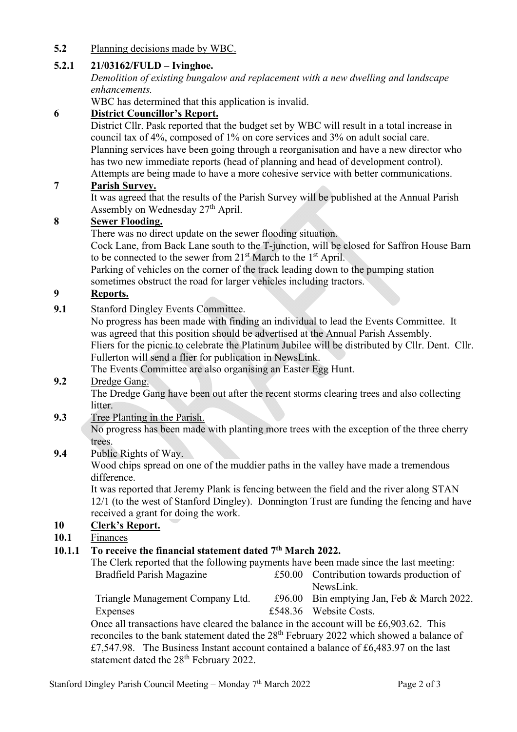## **5.2** Planning decisions made by WBC.

## **5.2.1 21/03162/FULD – Ivinghoe.**

*Demolition of existing bungalow and replacement with a new dwelling and landscape enhancements.*

WBC has determined that this application is invalid.

## **6 District Councillor's Report.**

District Cllr. Pask reported that the budget set by WBC will result in a total increase in council tax of 4%, composed of 1% on core services and 3% on adult social care. Planning services have been going through a reorganisation and have a new director who has two new immediate reports (head of planning and head of development control). Attempts are being made to have a more cohesive service with better communications.

#### **7 Parish Survey.**

It was agreed that the results of the Parish Survey will be published at the Annual Parish Assembly on Wednesday 27<sup>th</sup> April.

## **8 Sewer Flooding.**

There was no direct update on the sewer flooding situation.

Cock Lane, from Back Lane south to the T-junction, will be closed for Saffron House Barn to be connected to the sewer from  $21<sup>st</sup>$  March to the  $1<sup>st</sup>$  April.

Parking of vehicles on the corner of the track leading down to the pumping station sometimes obstruct the road for larger vehicles including tractors.

## **9 Reports.**

**9.1** Stanford Dingley Events Committee.

No progress has been made with finding an individual to lead the Events Committee. It was agreed that this position should be advertised at the Annual Parish Assembly. Fliers for the picnic to celebrate the Platinum Jubilee will be distributed by Cllr. Dent. Cllr. Fullerton will send a flier for publication in NewsLink.

The Events Committee are also organising an Easter Egg Hunt.

## **9.2** Dredge Gang.

The Dredge Gang have been out after the recent storms clearing trees and also collecting litter.

**9.3** Tree Planting in the Parish.

No progress has been made with planting more trees with the exception of the three cherry trees.

**9.4** Public Rights of Way.

Wood chips spread on one of the muddier paths in the valley have made a tremendous difference.

It was reported that Jeremy Plank is fencing between the field and the river along STAN 12/1 (to the west of Stanford Dingley). Donnington Trust are funding the fencing and have received a grant for doing the work.

## **10 Clerk's Report.**

## **10.1** Finances

## **10.1.1 To receive the financial statement dated 7th March 2022.**

| The Clerk reported that the following payments have been made since the last meeting:               |  |                                            |
|-----------------------------------------------------------------------------------------------------|--|--------------------------------------------|
| Bradfield Parish Magazine                                                                           |  | £50.00 Contribution towards production of  |
|                                                                                                     |  | NewsLink.                                  |
| Triangle Management Company Ltd.                                                                    |  | £96.00 Bin emptying Jan, Feb & March 2022. |
| Expenses                                                                                            |  | £548.36 Website Costs.                     |
| Once all transactions have cleared the balance in the account will be £6,903.62. This               |  |                                            |
| reconciles to the bank statement dated the 28 <sup>th</sup> February 2022 which showed a balance of |  |                                            |
| £7,547.98. The Business Instant account contained a balance of £6,483.97 on the last                |  |                                            |
| statement dated the 28 <sup>th</sup> February 2022.                                                 |  |                                            |